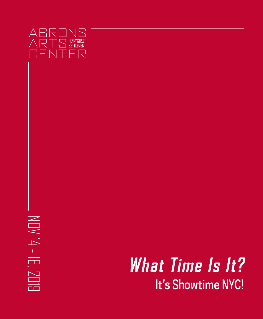

# $NDV$  14 - 16, NOV 14 - 16, 2019 **SUB**

## It's Showtime NYC! **What Time Is It?**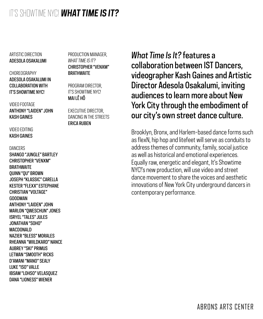ARTISTIC DIRECTION ADESOLA OSAKALUMI

#### CHOREOGRAPHY ADESOLA OSAKALUMI IN COLLABORATION WITH IT'S SHOWTIME NYC!

VIDEO FOOTAGE ANTHONY "LAIDEN" JOHN KASH GAINES

VIDEO EDITING KASH GAINES

**DANCERS** SHANGO "JUNGLE" BARTLEY CHRISTOPHER "VENXM" **BRATHWAITE** QUINN "QU" BROWN JOSEPH "KLASSIC" CARELLA KESTER "FLEXX" ESTEPHANE CHRISTIAN "VOLTAGE" GOODMAN ANTHONY "LAIDEN" JOHN MARLON "QWESCHUN" JONES ISRYEL "TALES" JULES JONATHAN "SOHO" MACDONALD NAZIER "BLESS" MORALES RHEANNA "WIILDKARD" NANCE AUBREY "SKI" PRIMUS LETWAN "SMOOTH" RICKS D'AMANI "MANO" SEALY LUKE "ISO" VALLE IBSAM "LOHSO" VELASQUEZ DANA "LIONESS" WIENER

PRODUCTION MANAGER, *WHAT TIME IS IT?* CHRISTOPHER "VENXM" **BRATHWAITE** 

PROGRAM DIRECTOR, IT'S SHOWTIME NYC! MAI LÊ HÔ

EXECUTIVE DIRECTOR, DANCING IN THE STREETS ERICA RUBEN

*What Time Is It?* features a collaboration between IST Dancers, videographer Kash Gaines and Artistic Director Adesola Osakalumi, inviting audiences to learn more about New York City through the embodiment of our city's own street dance culture.

Brooklyn, Bronx, and Harlem-based dance forms such as flexN, hip hop and litefeet will serve as conduits to address themes of community, family, social justice as well as historical and emotional experiences. Equally raw, energetic and elegant, It's Showtime NYC!'s new production, will use video and street dance movement to share the voices and aesthetic innovations of New York City underground dancers in contemporary performance.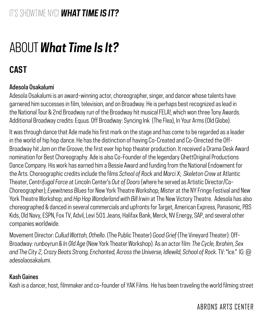## **CAST**

## Adesola Osakalumi

Adesola Osakalumi is an award-winning actor, choreographer, singer, and dancer whose talents have garnered him successes in film, television, and on Broadway. He is perhaps best recognized as lead in the National Tour & 2nd Broadway run of the Broadway hit musical FELA!, which won three Tony Awards. Additional Broadway credits: Equus. Off Broadway: Syncing Ink (The Flea), In Your Arms (Old Globe).

It was through dance that Ade made his first mark on the stage and has come to be regarded as a leader in the world of hip hop dance. He has the distinction of having Co-Created and Co-Directed the Off-Broadway hit *Jam on the Groove*, the first ever hip hop theater production. It received a Drama Desk Award nomination for Best Choreography. Ade is also Co-Founder of the legendary GhettOriginal Productions Dance Company. His work has earned him a Bessie Award and funding from the National Endowment for the Arts. Choreographic credits include the films *School of Rock* and *Marci X*; *Skeleton Crew* at Atlantic Theater, *Centrifugal Force* at Lincoln Center's *Out of Doors* (where he served as Artistic Director/Co-Choreographer); *Eyewitness Blues* for New York Theatre Workshop; *Mister* at the NY Fringe Festival and New York Theatre Workshop; and *Hip Hop Wonderland with Bill Irwin* at The New Victory Theatre. Adesola has also choreographed & danced in several commercials and upfronts for Target, American Express, Panasonic, PBS Kids, Old Navy, ESPN, Fox TV, Advil, Levi 501 Jeans, Halifax Bank, Merck, NV Energy, SAP, and several other companies worldwide.

Movement Director: *Cullud Wattah, Othello*. (The Public Theater) *Good Grief* (The Vineyard Theater): Off-Broadway: *runboyrun & In Old Age* (New York Theater Workshop). As an actor film: *The Cycle, Ibrahim, Sex and The City 2, Crazy Beats Strong, Enchanted, Across the Universe, Idlewild, School of Rock*. TV: "Ice." IG: @ adesolaosakalumi.

### Kash Gaines

Kash is a dancer, host, filmmaker and co-founder of YAK Films. He has been traveling the world filming street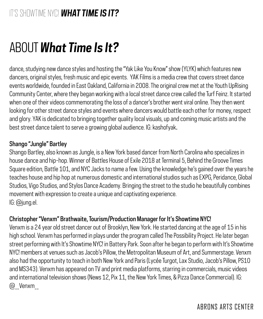dance, studying new dance styles and hosting the "Yak Like You Know" show (YLYK) which features new dancers, original styles, fresh music and epic events. YAK Films is a media crew that covers street dance events worldwide, founded in East Oakland, California in 2008. The original crew met at the Youth UpRising Community Center, where they began working with a local street dance crew called the Turf Feinz. It started when one of their videos commemorating the loss of a dancer's brother went viral online. They then went looking for other street dance styles and events where dancers would battle each other for money, respect and glory. YAK is dedicated to bringing together quality local visuals, up and coming music artists and the best street dance talent to serve a growing global audience. IG: kashofyak.

### Shango "Jungle" Bartley

Shango Bartley, also known as Jungle, is a New York based dancer from North Carolina who specializes in house dance and hip-hop. Winner of Battles House of Exile 2018 at Terminal 5, Behind the Groove Times Square edition, Battle 101, and NYC Jacks to name a few. Using the knowledge he's gained over the years he teaches house and hip hop at numerous domestic and international studios such as EXPG, Peridance, Global Studios, Vigo Studios, and Stylos Dance Academy. Bringing the street to the studio he beautifully combines movement with expression to create a unique and captivating experience. IG: @jung.el.

### Christopher "Venxm" Brathwaite, Tourism/Production Manager for It's Showtime NYC!

Venxm is a 24 year old street dancer out of Brooklyn, New York. He started dancing at the age of 15 in his high school. Venxm has performed in plays under the program called The Possibility Project. He later began street performing with It's Showtime NYC! in Battery Park. Soon after he began to perform with It's Showtime NYC! members at venues such as Jacob's Pillow, the Metropolitan Museum of Art, and Summerstage. Venxm also had the opportunity to teach in both New York and Paris (Lycée Turgot, Lax Studio, Jacob's Pillow, PS10 and MS343). Venxm has appeared on TV and print media platforms, starring in commercials, music videos and international television shows (News 12, Pix 11, the New York Times, & Pizza Dance Commercial). IG: @\_\_Venxm\_\_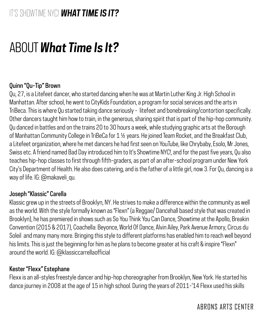## ABOUT *What Time Is It?*

### Quinn "Qu-Tip" Brown

Qu, 27, is a Litefeet dancer, who started dancing when he was at Martin Luther King Jr. High School in Manhattan. After school, he went to CityKids Foundation, a program for social services and the arts in TriBeca. This is where Qu started taking dance seriously - litefeet and bonebreaking/contortion specifically. Other dancers taught him how to train, in the generous, sharing spirit that is part of the hip-hop community. Qu danced in battles and on the trains 20 to 30 hours a week, while studying graphic arts at the Borough of Manhattan Community College in TriBeCa for 1 ½ years. He joined Team Rocket, and the Breakfast Club, a Litefeet organization, where he met dancers he had first seen on YouTube, like Chrybaby, Esolo, Mr Jones, Swiss etc. A friend named Bad Day introduced him to It's Showtime NYC!, and for the past five years, Qu also teaches hip-hop classes to first through fifth-graders, as part of an after-school program under New York City's Department of Health. He also does catering, and is the father of a little girl, now 3. For Qu, dancing is a way of life. IG: @makaveli\_qu.

### Joseph "Klassic" Carella

Klassic grew up in the streets of Brooklyn, NY. He strives to make a difference within the community as well as the world. With the style formally known as "Flexn" (a Reggae/ Dancehall based style that was created in Brooklyn), he has premiered in shows such as So You Think You Can Dance, Showtime at the Apollo, Breakin Convention (2015 & 2017), Coachella: Beyonce, World Of Dance, Alvin Ailey, Park Avenue Armory, Circus du Soleil and many many more. Bringing this style to different platforms has enabled him to reach well beyond his limits. This is just the beginning for him as he plans to become greater at his craft & inspire "Flexn" around the world. IG: @klassiccarrellaofficial

### Kester "Flexx" Estephane

Flexx is an all-styles freestyle dancer and hip-hop choreographer from Brooklyn, New York. He started his dance journey in 2008 at the age of 15 in high school. During the years of 2011-'14 Flexx used his skills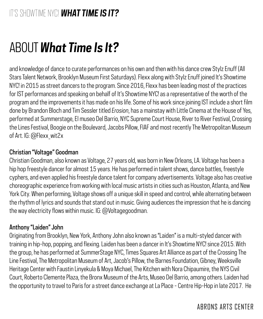and knowledge of dance to curate performances on his own and then with his dance crew Stylz Enuff (All Stars Talent Network, Brooklyn Museum First Saturdays). Flexx along with Stylz Enuff joined It's Showtime NYC! in 2015 as street dancers to the program. Since 2016, Flexx has been leading most of the practices for IST performances and speaking on behalf of It's Showtime NYC! as a representative of the worth of the program and the improvements it has made on his life. Some of his work since joining IST include a short film done by Brandon Bloch and Tim Sessler titled *Erosion*, has a mainstay with Little Cinema at the House of Yes, performed at Summerstage, El museo Del Barrio, NYC Supreme Court House, River to River Festival, Crossing the Lines Festival, Boogie on the Boulevard, Jacobs Pillow, FIAF and most recently The Metropolitan Museum of Art. IG: @Flexx\_wit2x

### Christian "Voltage" Goodman

Christian Goodman, also known as Voltage, 27 years old, was born in New Orleans, LA. Voltage has been a hip hop freestyle dancer for almost 15 years. He has performed in talent shows, dance battles, freestyle cyphers, and even applied his freestyle dance talent for company advertisements. Voltage also has creative choreographic experience from working with local music artists in cities such as Houston, Atlanta, and New York City. When performing, Voltage shows off a unique skill in speed and control, while alternating between the rhythm of lyrics and sounds that stand out in music. Giving audiences the impression that he is dancing the way electricity flows within music. IG: @Voltagegoodman.

### Anthony "Laiden" John

Originating from Brooklyn, New York, Anthony John also known as "Laiden" is a multi-styled dancer with training in hip-hop, popping, and flexing. Laiden has been a dancer in It's Showtime NYC! since 2015. With the group, he has performed at SummerStage NYC, Times Squares Art Alliance as part of the Crossing The Line Festival, The Metropolitan Museum of Art, Jacob's Pillow, the Barnes Foundation, Gibney, Weeksville Heritage Center with Faustin Linyekula & Moya Michael, The Kitchen with Nora Chipaumire, the NYS Civil Court, Roberto Clemente Plaza, the Bronx Museum of the Arts, Museo Del Barrio, among others. Laiden had the opportunity to travel to Paris for a street dance exchange at La Place - Centre Hip-Hop in late 2017. He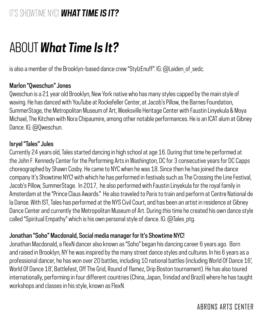## ABOUT *What Time Is It?*

is also a member of the Brooklyn-based dance crew "StylzEnuff". IG: @Laiden of sedc.

### Marlon "Qweschun" Jones

Qweschun is a 21 year old Brooklyn, New York native who has many styles capped by the main style of waving. He has danced with YouTube at Rockefeller Center, at Jacob's Pillow, the Barnes Foundation, SummerStage, the Metropolitan Museum of Art, Weeksville Heritage Center with Faustin Linyekula & Moya Michael, The Kitchen with Nora Chipaumire, among other notable performances. He is an ICAT alum at Gibney Dance. IG: @Qweschun.

### Isryel "Tales" Jules

Currently 24 years old, Tales started dancing in high school at age 16. During that time he performed at the John F. Kennedy Center for the Performing Arts in Washington, DC for 3 consecutive years for DC Capps choreographed by Shawn Cosby. He came to NYC when he was 18. Since then he has joined the dance company It's Showtime NYC! with which he has performed in festivals such as The Crossing the Line Festival, Jacob's Pillow, SummerStage. In 2017, he also performed with Faustin Linyekula for the royal family in Amsterdam at the "Prince Claus Awards." He also traveled to Paris to train and perform at Centre National de la Danse. With IST, Tales has performed at the NYS Civil Court, and has been an artist in residence at Gibney Dance Center and currently the Metropolitan Museum of Art. During this time he created his own dance style called "Spiritual Empathy" which is his own personal style of dance. IG: @Tales\_ptg.

### Jonathan "Soho" Macdonald, Social media manager for It's Showtime NYC!

Jonathan Macdonald, a flexN dancer also known as "Soho" began his dancing career 6 years ago. Born and raised in Brooklyn, NY he was inspired by the many street dance styles and cultures. In his 6 years as a professional dancer, he has won over 20 battles, including 10 national battles (including World Of Dance 16', World Of Dance 18', Battlefest, Off The Grid, Round of flamez, Drip Boston tournament). He has also toured internationally, performing in four different countries (China, Japan, Trinidad and Brazil) where he has taught workshops and classes in his style, known as FlexN.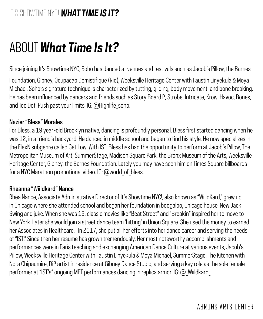Since joining It's Showtime NYC, Soho has danced at venues and festivals such as Jacob's Pillow, the Barnes

Foundation, Gibney, Ocupacao Demistifique (Rio), Weeksville Heritage Center with Faustin Linyekula & Moya Michael. Soho's signature technique is characterized by tutting, gliding, body movement, and bone breaking. He has been influenced by dancers and friends such as Story Board P, Strobe, Intricate, Krow, Havoc, Bones, and Tee Dot. Push past your limits. IG: @Highlife\_soho.

### Nazier "Bless" Morales

For Bless, a 19 year-old Brooklyn native, dancing is profoundly personal. Bless first started dancing when he was 12, in a friend's backyard. He danced in middle school and began to find his style. He now specializes in the FlexN subgenre called Get Low. With IST, Bless has had the opportunity to perform at Jacob's Pillow, The Metropolitan Museum of Art, SummerStage, Madison Square Park, the Bronx Museum of the Arts, Weeksville Heritage Center, Gibney, the Barnes Foundation. Lately you may have seen him on Times Square billboards for a NYC Marathon promotional video. IG: @world\_of\_bless.

### Rheanna "Wiildkard" Nance

Rhea Nance, Associate Administrative Director of It's Showtime NYC!, also known as "WiildKard," grew up in Chicago where she attended school and began her foundation in boogaloo, Chicago house, New Jack Swing and juke. When she was 19, classic movies like "Beat Street" and "Breakin" inspired her to move to New York. Later she would join a street dance team 'hitting' in Union Square. She used the money to earned her Associates in Healthcare. In 2017, she put all her efforts into her dance career and serving the needs of "IST." Since then her resume has grown tremendously. Her most noteworthy accomplishments and performances were in Paris teaching and exchanging American Dance Culture at various events, Jacob's Pillow, Weeksville Heritage Center with Faustin Linyekula & Moya Michael, SummerStage, The Kitchen with Nora Chipaumire, DiP artist in residence at Gibney Dance Studio, and serving a key role as the sole female performer at "IST's" ongoing MET performances dancing in replica armor. IG: @\_Wiildkard\_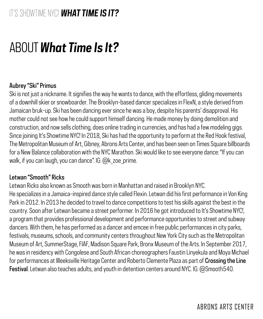## ABOUT *What Time Is It?*

### Aubrey "Ski" Primus

Ski is not just a nickname. It signifies the way he wants to dance, with the effortless, gliding movements of a downhill skier or snowboarder. The Brooklyn-based dancer specializes in FlexN, a style derived from Jamaican bruk-up. Ski has been dancing ever since he was a boy, despite his parents' disapproval. His mother could not see how he could support himself dancing. He made money by doing demolition and construction, and now sells clothing, does online trading in currencies, and has had a few modeling gigs. Since joining It's Showtime NYC! In 2018, Ski has had the opportunity to perform at the Red Hook festival, The Metropolitan Museum of Art, Gibney, Abrons Arts Center, and has been seen on Times Square billboards for a New Balance collaboration with the NYC Marathon. Ski would like to see everyone dance: "If you can walk, if you can laugh, you can dance". IG: @k\_zoe\_prime.

### Letwan "Smooth" Ricks

Letwan Ricks also known as Smooth was born in Manhattan and raised in Brooklyn NYC. He specializes in a Jamaica-inspired dance style called Flexin. Letwan did his first performance in Von King Park in 2012. In 2013 he decided to travel to dance competitions to test his skills against the best in the country. Soon after Letwan became a street performer. In 2016 he got introduced to It's Showtime NYC!, a program that provides professional development and performance opportunities to street and subway dancers. With them, he has performed as a dancer and emcee in free public performances in city parks, festivals, museums, schools, and community centers throughout New York City such as the Metropolitan Museum of Art, SummerStage, FIAF, Madison Square Park, Bronx Museum of the Arts. In September 2017, he was in residency with Congolese and South African choreographers Faustin Linyekula and Moya Michael for performances at Weeksville Heritage Center and Roberto Clemente Plaza as part of Crossing the Line Festival. Letwan also teaches adults, and youth in detention centers around NYC. IG: @Smooth540.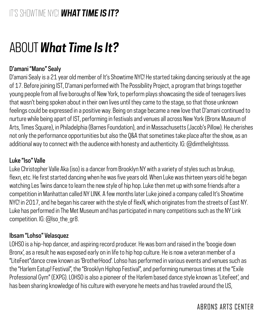## D'amani "Mano" Sealy

D'amani Sealy is a 21 year old member of It's Showtime NYC! He started taking dancing seriously at the age of 17. Before joining IST, D'amani performed with The Possibility Project, a program that brings together young people from all five boroughs of New York, to perform plays showcasing the side of teenagers lives that wasn't being spoken about in their own lives until they came to the stage, so that those unknown feelings could be expressed in a positive way. Being on stage became a new love that D'amani continued to nurture while being apart of IST, performing in festivals and venues all across New York (Bronx Museum of Arts, Times Square), in Philadelphia (Barnes Foundation), and in Massachusetts (Jacob's Pillow). He cherishes not only the performance opportunities but also the Q&A that sometimes take place after the show, as an additional way to connect with the audience with honesty and authenticity. IG: @dimthelightssss.

### Luke "Iso" Valle

Luke Christopher Valle Aka (iso) is a dancer from Brooklyn NY with a variety of styles such as brukup, flexn, etc. He first started dancing when he was five years old. When Luke was thirteen years old he began watching Les Twins dance to learn the new style of hip hop. Luke then met up with some friends after a competition in Manhattan called NY LINK. A few months later Luke joined a company called It's Showtime NYC! in 2017, and he began his career with the style of flexN, which originates from the streets of East NY. Luke has performed in The Met Museum and has participated in many competitions such as the NY Link competition. IG: @Iso\_the\_gr8.

### Ibsam "Lohso" Velasquez

LOHSO is a hip-hop dancer, and aspiring record producer. He was born and raised in the 'boogie down Bronx', as a result he was exposed early on in life to hip hop culture. He is now a veteran member of a "LiteFeet"dance crew known as 'BrotherHood'. Lohso has performed in various events and venues such as the "Harlem Eatup! Festival", the "Brooklyn Hiphop Festival", and performing numerous times at the "Exile Professional Gym" (EXPG). LOHSO is also a pioneer of the Harlem based dance style known as 'LiteFeet', and has been sharing knowledge of his culture with everyone he meets and has traveled around the US,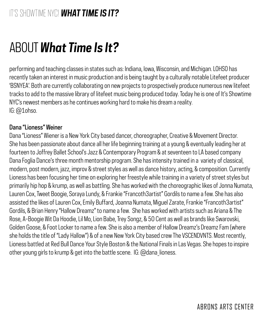performing and teaching classes in states such as: Indiana, Iowa, Wisconsin, and Michigan. LOHSO has recently taken an interest in music production and is being taught by a culturally notable Litefeet producer 'BSNYEA'. Both are currently collaborating on new projects to prospectively produce numerous new litefeet tracks to add to the massive library of litefeet music being produced today. Today he is one of It's Showtime NYC's newest members as he continues working hard to make his dream a reality. IG: @1ohso.

### Dana "Lioness" Weiner

Dana "Lioness" Wiener is a New York City based dancer, choreographer, Creative & Movement Director. She has been passionate about dance all her life beginning training at a young & eventually leading her at fourteen to Joffrey Ballet School's Jazz & Contemporary Program & at seventeen to LA based company Dana Foglia Dance's three month mentorship program. She has intensity trained in a variety of classical, modern, post modern, jazz, improv & street styles as well as dance history, acting, & composition. Currently Lioness has been focusing her time on exploring her freestyle while training in a variety of street styles but primarily hip hop & krump, as well as battling. She has worked with the choreographic likes of Jonna Numata, Lauren Cox, Tweet Boogie, Soraya Lundy, & Frankie "Francoth3artist" Gordils to name a few. She has also assisted the likes of Lauren Cox, Emily Buffard, Joanna Numata, Miguel Zarate, Frankie "Francoth3artist" Gordils, & Brian Henry "Hallow Dreamz" to name a few. She has worked with artists such as Ariana & The Rose, A-Boogie Wit Da Hoodie, Lil Mo, Lion Babe, Trey Songz, & 50 Cent as well as brands like Swarovski, Golden Goose, & Foot Locker to name a few. She is also a member of Hallow Dreamz's Dreamz Fam (where she holds the title of "Lady Hallow") & of a new New York City based crew The VSCENDVNTS. Most recently, Lioness battled at Red Bull Dance Your Style Boston & the National Finals in Las Vegas. She hopes to inspire other young girls to krump & get into the battle scene. IG: @dana\_lioness.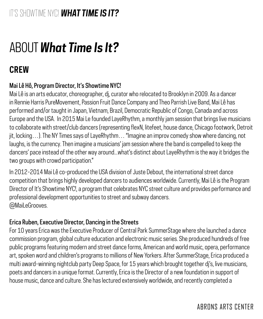## **CREW**

## Mai Lê Hô, Program Director, It's Showtime NYC!

Mai Lê is an arts educator, choreographer, dj, curator who relocated to Brooklyn in 2009. As a dancer in Rennie Harris PureMovement, Passion Fruit Dance Company and Theo Parrish Live Band, Mai Lê has performed and/or taught in Japan, Vietnam, Brazil, Democratic Republic of Congo, Canada and across Europe and the USA. In 2015 Mai Le founded LayeRhythm, a monthly jam session that brings live musicians to collaborate with street/club dancers (representing flexN, litefeet, house dance, Chicago footwork, Detroit jit, locking…). The NY Times says of LayeRhythm… "Imagine an improv comedy show where dancing, not laughs, is the currency. Then imagine a musicians' jam session where the band is compelled to keep the dancers' pace instead of the other way around...what's distinct about LayeRhythm is the way it bridges the two groups with crowd participation."

In 2012-2014 Mai Lê co-produced the USA division of Juste Debout, the international street dance competition that brings highly developed dancers to audiences worldwide. Currently, Mai Lê is the Program Director of It's Showtime NYC!, a program that celebrates NYC street culture and provides performance and professional development opportunities to street and subway dancers. @MaiLeGrooves.

### Erica Ruben, Executive Director, Dancing in the Streets

For 10 years Erica was the Executive Producer of Central Park SummerStage where she launched a dance commission program, global culture education and electronic music series. She produced hundreds of free public programs featuring modern and street dance forms, American and world music, opera, performance art, spoken word and children's programs to millions of New Yorkers. After SummerStage, Erica produced a multi award-winning nightclub party Deep Space, for 15 years which brought together dj's, live musicians, poets and dancers in a unique format. Currently, Erica is the Director of a new foundation in support of house music, dance and culture. She has lectured extensively worldwide, and recently completed a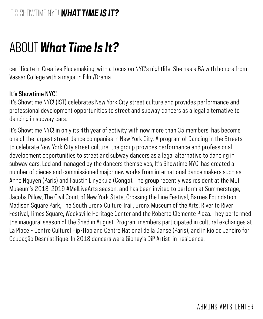certificate in Creative Placemaking, with a focus on NYC's nightlife. She has a BA with honors from Vassar College with a major in Film/Drama.

### It's Showtime NYC!

It's Showtime NYC! (IST) celebrates New York City street culture and provides performance and professional development opportunities to street and subway dancers as a legal alternative to dancing in subway cars.

It's Showtime NYC! in only its 4th year of activity with now more than 35 members, has become one of the largest street dance companies in New York City. A program of Dancing in the Streets to celebrate New York City street culture, the group provides performance and professional development opportunities to street and subway dancers as a legal alternative to dancing in subway cars. Led and managed by the dancers themselves, It's Showtime NYC! has created a number of pieces and commissioned major new works from international dance makers such as Anne Nguyen (Paris) and Faustin Linyekula (Congo). The group recently was resident at the MET Museum's 2018-2019 #MelLiveArts season, and has been invited to perform at Summerstage, Jacobs Pillow, The Civil Court of New York State, Crossing the Line Festival, Barnes Foundation, Madison Square Park, The South Bronx Culture Trail, Bronx Museum of the Arts, River to River Festival, Times Square, Weeksville Heritage Center and the Roberto Clemente Plaza. They performed the inaugural season of the Shed in August. Program members participated in cultural exchanges at La Place - Centre Culturel Hip-Hop and Centre National de la Danse (Paris), and in Rio de Janeiro for Ocupação Desmistifique. In 2018 dancers were Gibney's DiP Artist-in-residence.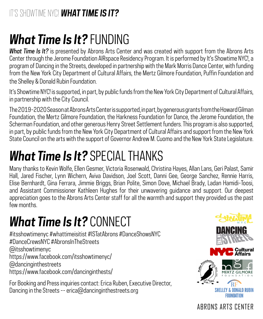## *What Time Is It?* FUNDING

*What Time Is It?* is presented by Abrons Arts Center and was created with support from the Abrons Arts Center through the Jerome Foundation AIRspace Residency Program. It is performed by It's Showtime NYC!, a program of Dancing in the Streets, developed in partnership with the Mark Morris Dance Center, with funding from the New York City Department of Cultural Affairs, the Mertz Gilmore Foundation, Puffin Foundation and the Shelley & Donald Rubin Foundation.

It's Showtime NYC! is supported, in part, by public funds from the New York City Department of Cultural Affairs, in partnership with the City Council.

The 2019-2020 Season at Abrons Arts Center is supported, in part, by generous grants from the Howard Gilman Foundation, the Mertz Gilmore Foundation, the Harkness Foundation for Dance, the Jerome Foundation, the Scherman Foundation, and other generous Henry Street Settlement funders. This program is also supported, in part, by public funds from the New York City Department of Cultural Affairs and support from the New York State Council on the arts with the support of Governor Andrew M. Cuomo and the New York State Legislature.

## *What Time Is It?* SPECIAL THANKS

Many thanks to Kevin Wolfe, Ellen Gesmer, Victoria Rosenwald, Christina Hayes, Allan Lans, Geri Palast, Samir Hall, Jared Fischer, Lynn Wichern, Aviva Davidson, Joel Scott, Danni Gee, George Sanchez, Rennie Harris, Elise Bernhardt, Gina Ferrara, Jimmie Briggs, Brian Polite, Simon Dove, Michael Brady, Ladan Hamidi-Toosi, and Assistant Commissioner Kathleen Hughes for their unwavering guidance and support. Our deepest appreciation goes to the Abrons Arts Center staff for all the warmth and support they provided us the past few months.

## *What Time Is It?* CONNECT

#itsshowtimenyc #whattimeisitist #ISTatAbrons #DanceShowsNYC #DanceCrewsNYC #AbronsInTheStreets @itsshowtimenyc https://www.facebook.com/itsshowtimenyc/ @dancinginthestreets https://www.facebook.com/dancinginthests/

For Booking and Press inquiries contact: Erica Ruben, Executive Director, Dancing in the Streets -- erica@dancinginthestreets.org



[ABRONS ARTS CENTER](http://www.abronsartscenter.org/on-stage/shows/alex-romania-klutz-world-premiere)